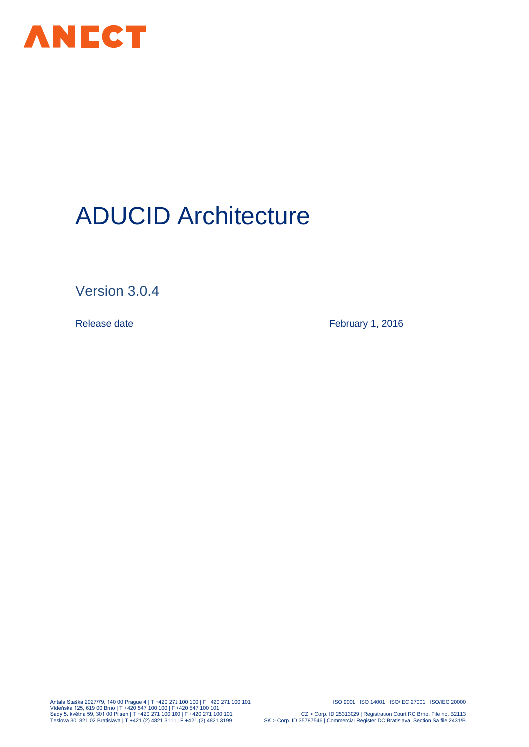

# ADUCID Architecture

Version 3.0.4

Release date **February 1, 2016** 

Antala Staška 2027/79, 140 00 Prague 4 | T +420 271 100 100 | F +420 271 100 101 ISO 9001 ISO 14001 ISO/IEC 27001 ISO/IEC 20000 Vídeňská 125, 619 00 Brno | T +420 547 100 100 | F +420 547 100 101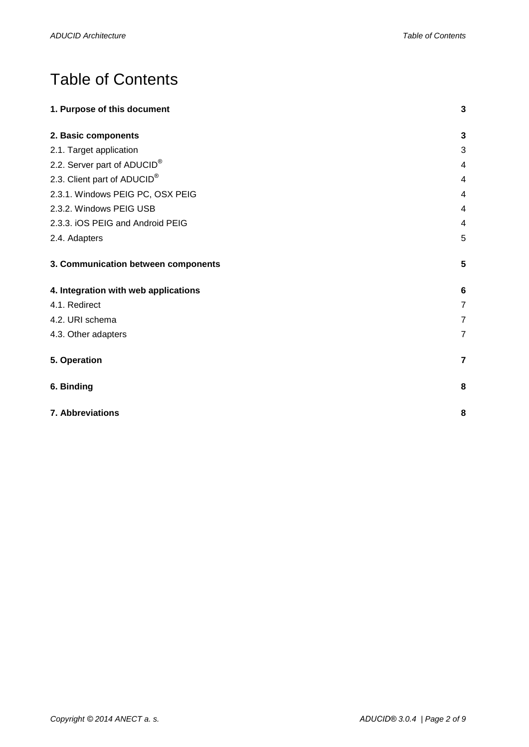# Table of Contents

| 1. Purpose of this document             | $\overline{\mathbf{3}}$ |
|-----------------------------------------|-------------------------|
| 2. Basic components                     | 3                       |
| 2.1. Target application                 | 3                       |
| 2.2. Server part of ADUCID <sup>®</sup> | 4                       |
| 2.3. Client part of ADUCID®             | $\overline{4}$          |
| 2.3.1. Windows PEIG PC, OSX PEIG        | 4                       |
| 2.3.2. Windows PEIG USB                 | 4                       |
| 2.3.3. iOS PEIG and Android PEIG        | 4                       |
| 2.4. Adapters                           | 5                       |
| 3. Communication between components     | 5                       |
| 4. Integration with web applications    | 6                       |
| 4.1. Redirect                           | $\overline{7}$          |
| 4.2. URI schema                         | $\overline{7}$          |
| 4.3. Other adapters                     | $\overline{7}$          |
| 5. Operation                            | $\overline{7}$          |
| 6. Binding                              | 8                       |
| 7. Abbreviations                        |                         |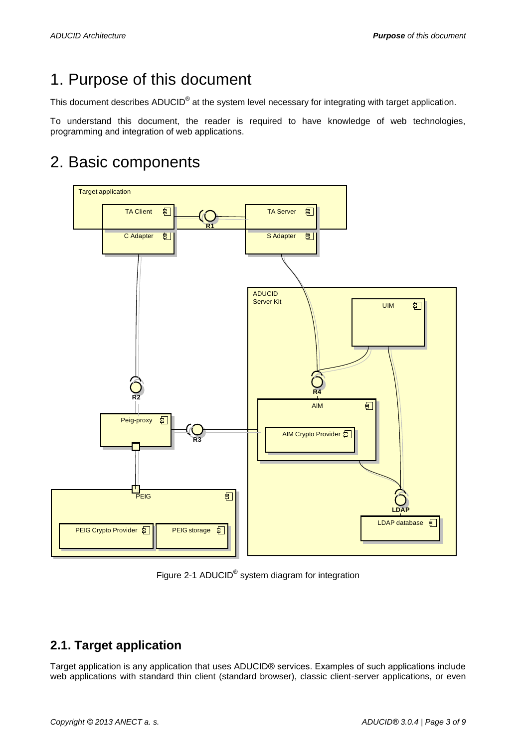# <span id="page-2-0"></span>1. Purpose of this document

This document describes ADUCID<sup>®</sup> at the system level necessary for integrating with target application.

To understand this document, the reader is required to have knowledge of web technologies, programming and integration of web applications.

# 2. Basic components

<span id="page-2-1"></span>

Figure 2-1 ADUCID<sup>®</sup> system diagram for integration

#### <span id="page-2-2"></span>**2.1. Target application**

Target application is any application that uses ADUCID® services. Examples of such applications include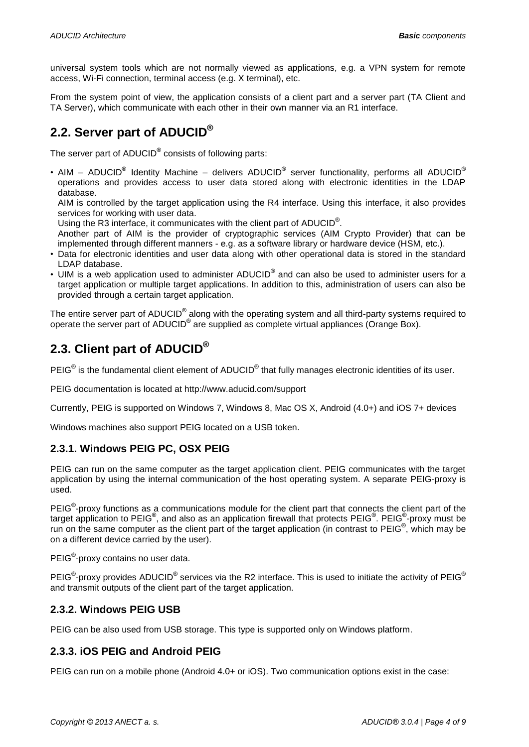universal system tools which are not normally viewed as applications, e.g. a VPN system for remote access, Wi-Fi connection, terminal access (e.g. X terminal), etc.

From the system point of view, the application consists of a client part and a server part (TA Client and TA Server), which communicate with each other in their own manner via an R1 interface.

#### <span id="page-3-0"></span>**2.2. Server part of ADUCID®**

The server part of ADUCID $^{\circ}$  consists of following parts:

• AIM – ADUCID<sup>®</sup> Identity Machine – delivers ADUCID<sup>®</sup> server functionality, performs all ADUCID<sup>®</sup> operations and provides access to user data stored along with electronic identities in the LDAP database.

AIM is controlled by the target application using the R4 interface. Using this interface, it also provides services for working with user data.

Using the R3 interface, it communicates with the client part of ADUCID<sup>®</sup>.

Another part of AIM is the provider of cryptographic services (AIM Crypto Provider) that can be implemented through different manners - e.g. as a software library or hardware device (HSM, etc.).

- Data for electronic identities and user data along with other operational data is stored in the standard LDAP database.
- UIM is a web application used to administer ADUCID<sup>®</sup> and can also be used to administer users for a target application or multiple target applications. In addition to this, administration of users can also be provided through a certain target application.

The entire server part of ADUCID<sup>®</sup> along with the operating system and all third-party systems required to operate the server part of ADUCID<sup>®</sup> are supplied as complete virtual appliances (Orange Box).

#### <span id="page-3-1"></span>**2.3. Client part of ADUCID®**

PEIG<sup>®</sup> is the fundamental client element of ADUCID<sup>®</sup> that fully manages electronic identities of its user.

PEIG documentation is located at http://www.aducid.com/support

Currently, PEIG is supported on Windows 7, Windows 8, Mac OS X, Android (4.0+) and iOS 7+ devices

Windows machines also support PEIG located on a USB token.

#### <span id="page-3-2"></span>**2.3.1. Windows PEIG PC, OSX PEIG**

PEIG can run on the same computer as the target application client. PEIG communicates with the target application by using the internal communication of the host operating system. A separate PEIG-proxy is used.

PEIG<sup>®</sup>-proxy functions as a communications module for the client part that connects the client part of the target application to PEIG®, and also as an application firewall that protects PEIG®. PEIG®-proxy must be run on the same computer as the client part of the target application (in contrast to PEIG<sup>®</sup>, which may be on a different device carried by the user).

PEIG<sup>®</sup>-proxy contains no user data.

PEIG<sup>®</sup>-proxy provides ADUCID<sup>®</sup> services via the R2 interface. This is used to initiate the activity of PEIG<sup>®</sup> and transmit outputs of the client part of the target application.

#### <span id="page-3-3"></span>**2.3.2. Windows PEIG USB**

PEIG can be also used from USB storage. This type is supported only on Windows platform.

#### <span id="page-3-4"></span>**2.3.3. iOS PEIG and Android PEIG**

PEIG can run on a mobile phone (Android 4.0+ or iOS). Two communication options exist in the case: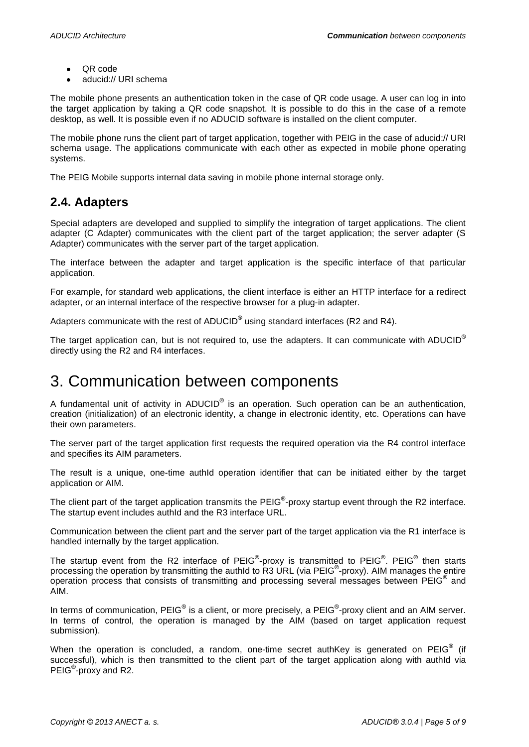- QR code  $\bullet$
- aducid:// URI schema

The mobile phone presents an authentication token in the case of QR code usage. A user can log in into the target application by taking a QR code snapshot. It is possible to do this in the case of a remote desktop, as well. It is possible even if no ADUCID software is installed on the client computer.

The mobile phone runs the client part of target application, together with PEIG in the case of aducid:// URI schema usage. The applications communicate with each other as expected in mobile phone operating systems.

The PEIG Mobile supports internal data saving in mobile phone internal storage only.

#### <span id="page-4-0"></span>**2.4. Adapters**

Special adapters are developed and supplied to simplify the integration of target applications. The client adapter (C Adapter) communicates with the client part of the target application; the server adapter (S Adapter) communicates with the server part of the target application.

The interface between the adapter and target application is the specific interface of that particular application.

For example, for standard web applications, the client interface is either an HTTP interface for a redirect adapter, or an internal interface of the respective browser for a plug-in adapter.

Adapters communicate with the rest of ADUCID<sup>®</sup> using standard interfaces (R2 and R4).

The target application can, but is not required to, use the adapters. It can communicate with ADUCID<sup>®</sup> directly using the R2 and R4 interfaces.

### <span id="page-4-1"></span>3. Communication between components

A fundamental unit of activity in ADUCID<sup>®</sup> is an operation. Such operation can be an authentication, creation (initialization) of an electronic identity, a change in electronic identity, etc. Operations can have their own parameters.

The server part of the target application first requests the required operation via the R4 control interface and specifies its AIM parameters.

The result is a unique, one-time authId operation identifier that can be initiated either by the target application or AIM.

The client part of the target application transmits the PEIG®-proxy startup event through the R2 interface. The startup event includes authId and the R3 interface URL.

Communication between the client part and the server part of the target application via the R1 interface is handled internally by the target application.

The startup event from the R2 interface of PEIG®-proxy is transmitted to PEIG®. PEIG® then starts processing the operation by transmitting the authId to R3 URL (via PEIG<sup>®</sup>-proxy). AIM manages the entire operation process that consists of transmitting and processing several messages between PEIG® and AIM.

In terms of communication, PEIG® is a client, or more precisely, a PEIG®-proxy client and an AIM server. In terms of control, the operation is managed by the AIM (based on target application request submission).

When the operation is concluded, a random, one-time secret authKey is generated on PEIG<sup>®</sup> (if successful), which is then transmitted to the client part of the target application along with authId via PEIG<sup>®</sup>-proxy and R2.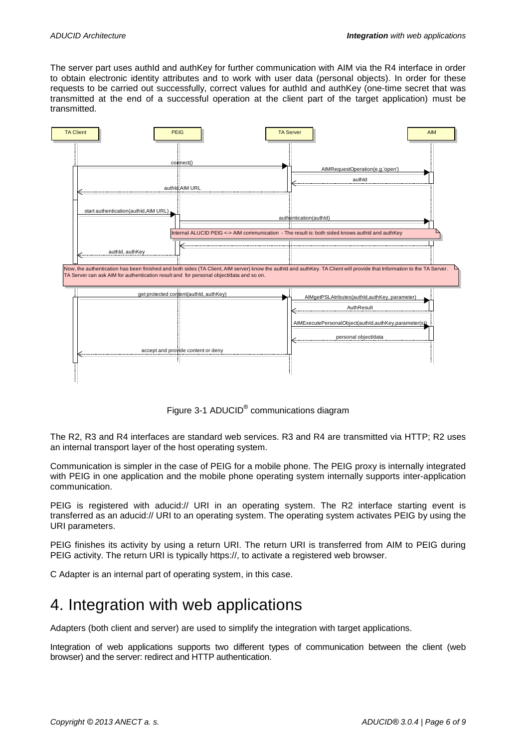The server part uses authId and authKey for further communication with AIM via the R4 interface in order to obtain electronic identity attributes and to work with user data (personal objects). In order for these requests to be carried out successfully, correct values for authId and authKey (one-time secret that was transmitted at the end of a successful operation at the client part of the target application) must be transmitted.



Figure 3-1 ADUCID<sup>®</sup> communications diagram

The R2, R3 and R4 interfaces are standard web services. R3 and R4 are transmitted via HTTP; R2 uses an internal transport layer of the host operating system.

Communication is simpler in the case of PEIG for a mobile phone. The PEIG proxy is internally integrated with PEIG in one application and the mobile phone operating system internally supports inter-application communication.

PEIG is registered with aducid:// URI in an operating system. The R2 interface starting event is transferred as an aducid:// URI to an operating system. The operating system activates PEIG by using the URI parameters.

PEIG finishes its activity by using a return URI. The return URI is transferred from AIM to PEIG during PEIG activity. The return URI is typically https://, to activate a registered web browser.

C Adapter is an internal part of operating system, in this case.

## <span id="page-5-0"></span>4. Integration with web applications

Adapters (both client and server) are used to simplify the integration with target applications.

Integration of web applications supports two different types of communication between the client (web browser) and the server: redirect and HTTP authentication.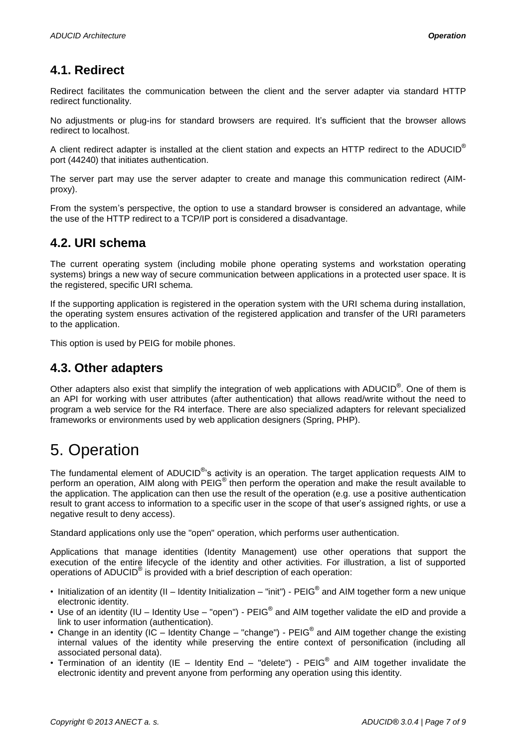#### <span id="page-6-0"></span>**4.1. Redirect**

Redirect facilitates the communication between the client and the server adapter via standard HTTP redirect functionality.

No adjustments or plug-ins for standard browsers are required. It's sufficient that the browser allows redirect to localhost.

A client redirect adapter is installed at the client station and expects an HTTP redirect to the ADUCID® port (44240) that initiates authentication.

The server part may use the server adapter to create and manage this communication redirect (AIMproxy).

From the system's perspective, the option to use a standard browser is considered an advantage, while the use of the HTTP redirect to a TCP/IP port is considered a disadvantage.

#### <span id="page-6-1"></span>**4.2. URI schema**

The current operating system (including mobile phone operating systems and workstation operating systems) brings a new way of secure communication between applications in a protected user space. It is the registered, specific URI schema.

If the supporting application is registered in the operation system with the URI schema during installation, the operating system ensures activation of the registered application and transfer of the URI parameters to the application.

This option is used by PEIG for mobile phones.

#### <span id="page-6-2"></span>**4.3. Other adapters**

Other adapters also exist that simplify the integration of web applications with ADUCID®. One of them is an API for working with user attributes (after authentication) that allows read/write without the need to program a web service for the R4 interface. There are also specialized adapters for relevant specialized frameworks or environments used by web application designers (Spring, PHP).

# <span id="page-6-3"></span>5. Operation

The fundamental element of ADUCID<sup>®</sup>'s activity is an operation. The target application requests AIM to perform an operation, AIM along with PEIG® then perform the operation and make the result available to the application. The application can then use the result of the operation (e.g. use a positive authentication result to grant access to information to a specific user in the scope of that user's assigned rights, or use a negative result to deny access).

Standard applications only use the "open" operation, which performs user authentication.

Applications that manage identities (Identity Management) use other operations that support the execution of the entire lifecycle of the identity and other activities. For illustration, a list of supported operations of ADUCID<sup>®</sup> is provided with a brief description of each operation:

- Initialization of an identity (II Identity Initialization "init") PEIG® and AIM together form a new unique electronic identity.
- Use of an identity (IU Identity Use "open") PEIG® and AIM together validate the eID and provide a link to user information (authentication).
- Change in an identity (IC Identity Change "change") PEIG® and AIM together change the existing internal values of the identity while preserving the entire context of personification (including all associated personal data).
- Termination of an identity (IE Identity End "delete")  $PEIG^{\circledast}$  and AIM together invalidate the electronic identity and prevent anyone from performing any operation using this identity.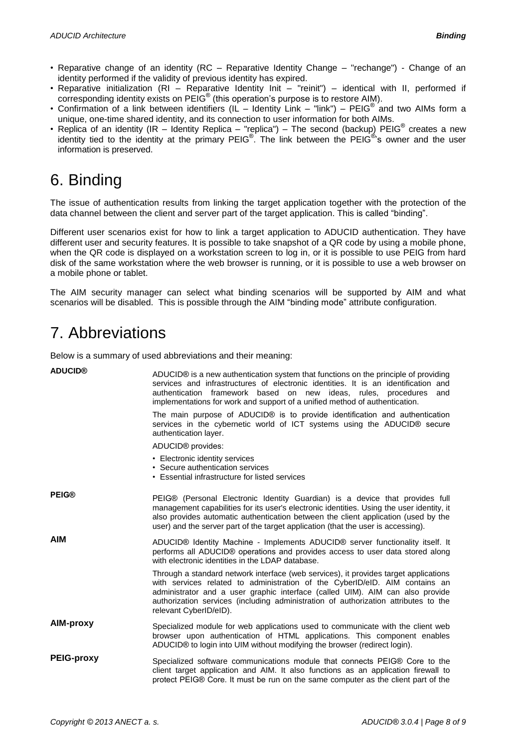- Reparative change of an identity (RC Reparative Identity Change "rechange") Change of an identity performed if the validity of previous identity has expired.
- Reparative initialization (RI Reparative Identity Init "reinit") identical with II, performed if corresponding identity exists on PEIG® (this operation's purpose is to restore AIM).
- Confirmation of a link between identifiers (IL Identity Link "link") PEIG® and two AIMs form a unique, one-time shared identity, and its connection to user information for both AIMs.
- Replica of an identity (IR Identity Replica "replica") The second (backup) PEIG<sup>®</sup> creates a new identity tied to the identity at the primary PEIG<sup>®</sup>. The link between the PEIG<sup>®</sup>'s owner and the user information is preserved.

# <span id="page-7-0"></span>6. Binding

The issue of authentication results from linking the target application together with the protection of the data channel between the client and server part of the target application. This is called "binding".

Different user scenarios exist for how to link a target application to ADUCID authentication. They have different user and security features. It is possible to take snapshot of a QR code by using a mobile phone, when the QR code is displayed on a workstation screen to log in, or it is possible to use PEIG from hard disk of the same workstation where the web browser is running, or it is possible to use a web browser on a mobile phone or tablet.

The AIM security manager can select what binding scenarios will be supported by AIM and what scenarios will be disabled. This is possible through the AIM "binding mode" attribute configuration.

# <span id="page-7-1"></span>7. Abbreviations

Below is a summary of used abbreviations and their meaning:

| <b>ADUCID®</b>    | ADUCID® is a new authentication system that functions on the principle of providing<br>services and infrastructures of electronic identities. It is an identification and<br>authentication framework based on new ideas, rules, procedures<br>and<br>implementations for work and support of a unified method of authentication.                                     |
|-------------------|-----------------------------------------------------------------------------------------------------------------------------------------------------------------------------------------------------------------------------------------------------------------------------------------------------------------------------------------------------------------------|
|                   | The main purpose of ADUCID® is to provide identification and authentication<br>services in the cybernetic world of ICT systems using the ADUCID® secure<br>authentication layer.                                                                                                                                                                                      |
|                   | ADUCID® provides:                                                                                                                                                                                                                                                                                                                                                     |
|                   | • Electronic identity services<br>• Secure authentication services<br>• Essential infrastructure for listed services                                                                                                                                                                                                                                                  |
| <b>PEIG®</b>      | PEIG® (Personal Electronic Identity Guardian) is a device that provides full<br>management capabilities for its user's electronic identities. Using the user identity, it<br>also provides automatic authentication between the client application (used by the<br>user) and the server part of the target application (that the user is accessing).                  |
| <b>AIM</b>        | ADUCID® Identity Machine - Implements ADUCID® server functionality itself. It<br>performs all ADUCID® operations and provides access to user data stored along<br>with electronic identities in the LDAP database.                                                                                                                                                    |
|                   | Through a standard network interface (web services), it provides target applications<br>with services related to administration of the CyberID/eID. AIM contains an<br>administrator and a user graphic interface (called UIM). AIM can also provide<br>authorization services (including administration of authorization attributes to the<br>relevant CyberID/eID). |
| AIM-proxy         | Specialized module for web applications used to communicate with the client web<br>browser upon authentication of HTML applications. This component enables<br>ADUCID® to login into UIM without modifying the browser (redirect login).                                                                                                                              |
| <b>PEIG-proxy</b> | Specialized software communications module that connects PEIG® Core to the<br>client target application and AIM. It also functions as an application firewall to<br>protect PEIG® Core. It must be run on the same computer as the client part of the                                                                                                                 |